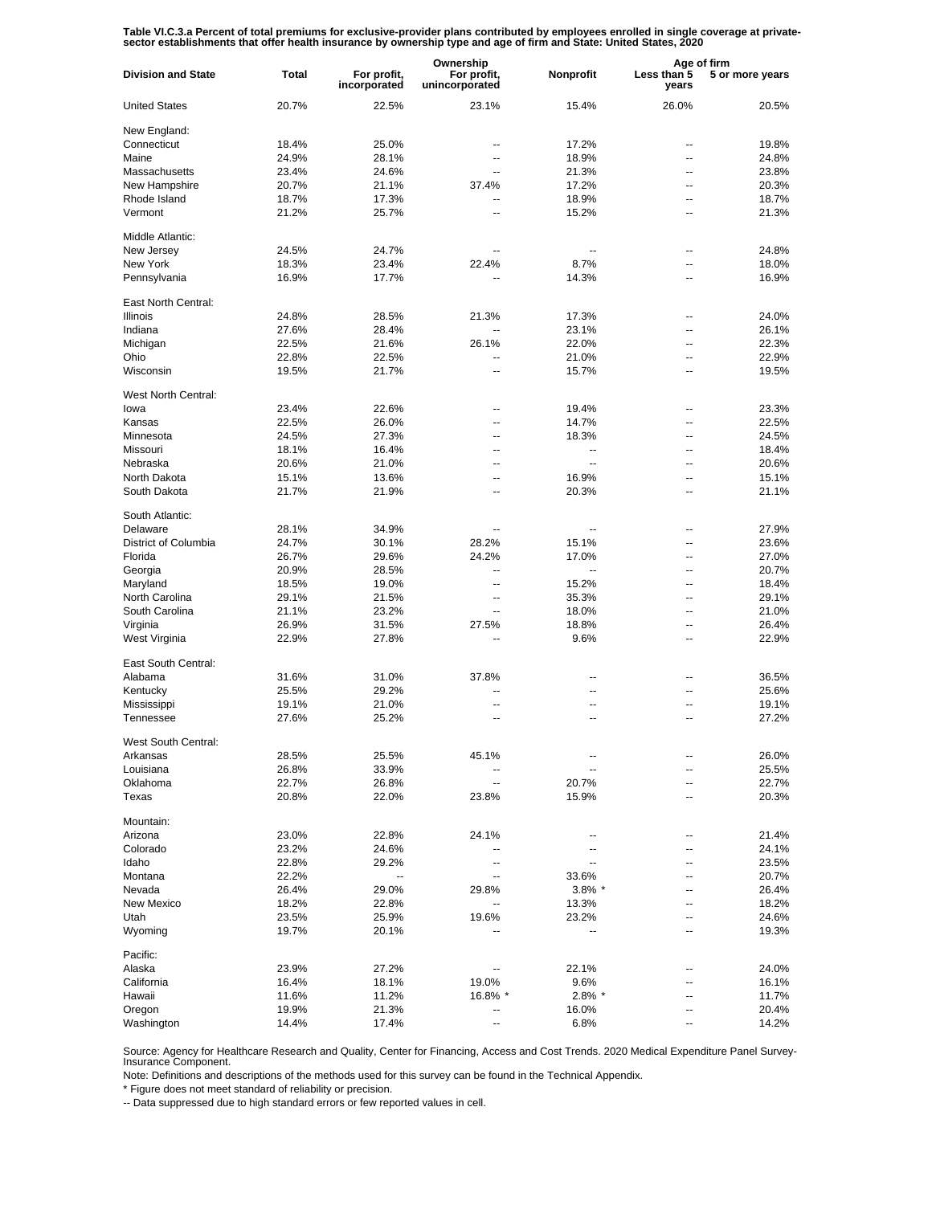Table VI.C.3.a Percent of total premiums for exclusive-provider plans contributed by employees enrolled in single coverage at private-<br>sector establishments that offer health insurance by ownership type and age of firm and

|                           |              |                             | Ownership                     |                          | Age of firm          |                 |
|---------------------------|--------------|-----------------------------|-------------------------------|--------------------------|----------------------|-----------------|
| <b>Division and State</b> | <b>Total</b> | For profit,<br>incorporated | For profit,<br>unincorporated | Nonprofit                | Less than 5<br>years | 5 or more years |
| <b>United States</b>      | 20.7%        | 22.5%                       | 23.1%                         | 15.4%                    | 26.0%                | 20.5%           |
| New England:              |              |                             |                               |                          |                      |                 |
| Connecticut               | 18.4%        | 25.0%                       | --                            | 17.2%                    | --                   | 19.8%           |
| Maine                     | 24.9%        | 28.1%                       | --                            | 18.9%                    | --                   | 24.8%           |
| Massachusetts             | 23.4%        | 24.6%                       | $\overline{a}$                | 21.3%                    | --                   | 23.8%           |
| New Hampshire             | 20.7%        | 21.1%                       | 37.4%                         | 17.2%                    | --                   | 20.3%           |
|                           |              |                             | --                            |                          | ۵.                   |                 |
| Rhode Island              | 18.7%        | 17.3%                       |                               | 18.9%                    |                      | 18.7%           |
| Vermont                   | 21.2%        | 25.7%                       | --                            | 15.2%                    | --                   | 21.3%           |
| Middle Atlantic:          |              |                             |                               |                          |                      |                 |
| New Jersey                | 24.5%        | 24.7%                       |                               |                          | --                   | 24.8%           |
| New York                  | 18.3%        | 23.4%                       | 22.4%                         | 8.7%                     | --                   | 18.0%           |
| Pennsylvania              | 16.9%        | 17.7%                       |                               | 14.3%                    | --                   | 16.9%           |
|                           |              |                             |                               |                          |                      |                 |
| East North Central:       |              |                             |                               |                          |                      |                 |
| <b>Illinois</b>           | 24.8%        | 28.5%                       | 21.3%                         | 17.3%                    | --                   | 24.0%           |
| Indiana                   | 27.6%        | 28.4%                       | $\ddotsc$                     | 23.1%                    | --                   | 26.1%           |
| Michigan                  | 22.5%        | 21.6%                       | 26.1%                         | 22.0%                    | ۵.                   | 22.3%           |
| Ohio                      | 22.8%        | 22.5%                       | $\overline{a}$                | 21.0%                    | --                   | 22.9%           |
| Wisconsin                 | 19.5%        | 21.7%                       | --                            | 15.7%                    | ۵.                   | 19.5%           |
| West North Central:       |              |                             |                               |                          |                      |                 |
| lowa                      | 23.4%        | 22.6%                       | --                            | 19.4%                    | ۵.                   | 23.3%           |
|                           |              |                             |                               |                          |                      |                 |
| Kansas                    | 22.5%        | 26.0%                       | --                            | 14.7%                    | --                   | 22.5%           |
| Minnesota                 | 24.5%        | 27.3%                       | -−                            | 18.3%                    | ۵.                   | 24.5%           |
| Missouri                  | 18.1%        | 16.4%                       | --                            | $\overline{\phantom{a}}$ | --                   | 18.4%           |
| Nebraska                  | 20.6%        | 21.0%                       | --                            | $\sim$                   | ۵.                   | 20.6%           |
| North Dakota              | 15.1%        | 13.6%                       | --                            | 16.9%                    | --                   | 15.1%           |
| South Dakota              | 21.7%        | 21.9%                       | --                            | 20.3%                    | ۵.                   | 21.1%           |
| South Atlantic:           |              |                             |                               |                          |                      |                 |
| Delaware                  | 28.1%        | 34.9%                       | --                            | --                       | --                   | 27.9%           |
| District of Columbia      | 24.7%        | 30.1%                       | 28.2%                         | 15.1%                    | --                   | 23.6%           |
| Florida                   | 26.7%        | 29.6%                       | 24.2%                         | 17.0%                    | --                   | 27.0%           |
| Georgia                   | 20.9%        | 28.5%                       | $\overline{a}$                | $\overline{\phantom{a}}$ | --                   | 20.7%           |
|                           |              |                             |                               |                          |                      |                 |
| Maryland                  | 18.5%        | 19.0%                       | $\overline{a}$                | 15.2%                    | --                   | 18.4%           |
| North Carolina            | 29.1%        | 21.5%                       | $\overline{\phantom{a}}$      | 35.3%                    | --                   | 29.1%           |
| South Carolina            | 21.1%        | 23.2%                       | $\overline{a}$                | 18.0%                    | --                   | 21.0%           |
| Virginia                  | 26.9%        | 31.5%                       | 27.5%                         | 18.8%                    | --                   | 26.4%           |
| West Virginia             | 22.9%        | 27.8%                       |                               | 9.6%                     | --                   | 22.9%           |
| East South Central:       |              |                             |                               |                          |                      |                 |
| Alabama                   | 31.6%        | 31.0%                       | 37.8%                         | --                       | --                   | 36.5%           |
| Kentucky                  | 25.5%        | 29.2%                       |                               | --                       | ۵.                   | 25.6%           |
| Mississippi               | 19.1%        | 21.0%                       | --                            | --                       | --                   | 19.1%           |
| Tennessee                 | 27.6%        | 25.2%                       | $\overline{a}$                | $\overline{a}$           | ۵.                   | 27.2%           |
|                           |              |                             |                               |                          |                      |                 |
| West South Central:       |              |                             |                               |                          |                      |                 |
| Arkansas                  | 28.5%        | 25.5%                       | 45.1%                         |                          |                      | 26.0%           |
| Louisiana                 | 26.8%        | 33.9%                       |                               |                          | ۵.                   | 25.5%           |
| Oklahoma                  | 22.7%        | 26.8%                       | --                            | 20.7%                    |                      | 22.7%           |
| Texas                     | 20.8%        | 22.0%                       | 23.8%                         | 15.9%                    |                      | 20.3%           |
| Mountain:                 |              |                             |                               |                          |                      |                 |
| Arizona                   | 23.0%        | 22.8%                       | 24.1%                         | $\overline{\phantom{a}}$ | ٠.                   | 21.4%           |
| Colorado                  | 23.2%        | 24.6%                       | --                            | $\overline{\phantom{a}}$ | --                   | 24.1%           |
| Idaho                     | 22.8%        | 29.2%                       | $\overline{\phantom{a}}$      | $\overline{\phantom{a}}$ | --                   | 23.5%           |
| Montana                   | 22.2%        | ۰.                          | $\overline{\phantom{a}}$      | 33.6%                    | --                   | 20.7%           |
| Nevada                    |              | 29.0%                       |                               |                          |                      |                 |
|                           | 26.4%        |                             | 29.8%                         | $3.8\%$ *                | --                   | 26.4%           |
| New Mexico                | 18.2%        | 22.8%                       | $\overline{\phantom{a}}$      | 13.3%                    | --                   | 18.2%           |
| Utah                      | 23.5%        | 25.9%                       | 19.6%                         | 23.2%                    | --                   | 24.6%           |
| Wyoming                   | 19.7%        | 20.1%                       |                               | --                       | --                   | 19.3%           |
| Pacific:                  |              |                             |                               |                          |                      |                 |
| Alaska                    | 23.9%        | 27.2%                       |                               | 22.1%                    | --                   | 24.0%           |
| California                | 16.4%        | 18.1%                       | 19.0%                         | 9.6%                     |                      | 16.1%           |
| Hawaii                    | 11.6%        | 11.2%                       | $16.8\%$ *                    | $2.8\%$ *                | --                   | 11.7%           |
| Oregon                    | 19.9%        | 21.3%                       |                               | 16.0%                    | --                   | 20.4%           |
| Washington                | 14.4%        | 17.4%                       |                               | 6.8%                     |                      | 14.2%           |

Source: Agency for Healthcare Research and Quality, Center for Financing, Access and Cost Trends. 2020 Medical Expenditure Panel Survey-Insurance Component.

Note: Definitions and descriptions of the methods used for this survey can be found in the Technical Appendix.

\* Figure does not meet standard of reliability or precision.

-- Data suppressed due to high standard errors or few reported values in cell.